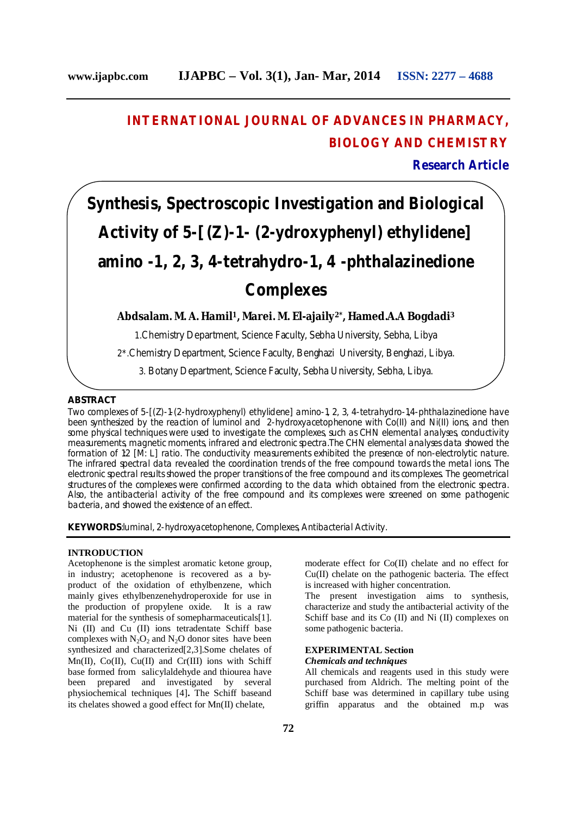## **INTERNATIONAL JOURNAL OF ADVANCES IN PHARMACY, BIOLOGY AND CHEMISTRY**

**Research Article**

# **Synthesis, Spectroscopic Investigation and Biological Activity of 5-[(***Z***)-1- (2-ydroxyphenyl) ethylidene] amino -1, 2, 3, 4-tetrahydro-1, 4 -phthalazinedione Complexes**

#### **Abdsalam. M. A. Hamil1, Marei. M. El-ajaily2\* , Hamed.A.A Bogdadi<sup>3</sup>**

1.Chemistry Department, Science Faculty, Sebha University, Sebha, Libya

2\*.Chemistry Department, Science Faculty, Benghazi University, Benghazi, Libya.

3. Botany Department, Science Faculty, Sebha University, Sebha, Libya.

#### **ABSTRACT**

Two complexes of 5-[(*Z*)-1-(2-hydroxyphenyl) ethylidene] amino-1, 2, 3, 4-tetrahydro-1,4-phthalazinedione have been synthesized by the reaction of luminol and 2-hydroxyacetophenone with Co(II) and Ni(II) ions, and then some physical techniques were used to investigate the complexes, such as CHN elemental analyses, conductivity measurements, magnetic moments, infrared and electronic spectra.The CHN elemental analyses data showed the formation of 1:2 [M: L] ratio. The conductivity measurements exhibited the presence of non-electrolytic nature. The infrared spectral data revealed the coordination trends of the free compound towards the metal ions. The electronic spectral results showed the proper transitions of the free compound and its complexes. The geometrical structures of the complexes were confirmed according to the data which obtained from the electronic spectra. Also, the antibacterial activity of the free compound and its complexes were screened on some pathogenic bacteria, and showed the existence of an effect.

**KEYWORDS**:luminal, 2-hydroxyacetophenone, Complexes, Antibacterial Activity.

#### **INTRODUCTION**

Acetophenone is the simplest aromatic ketone group, in industry; acetophenone is recovered as a byproduct of the oxidation of ethylbenzene, which mainly gives ethylbenzenehydroperoxide for use in the production of propylene oxide. It is a raw material for the synthesis of somepharmaceuticals[1]. Ni (II) and Cu (II) ions tetradentate Schiff base complexes with  $N_2O_2$  and  $N_2O$  donor sites have been synthesized and characterized[2,3].Some chelates of  $Mn(II)$ ,  $Co(II)$ ,  $Cu(II)$  and  $Cr(III)$  ions with Schiff base formed from salicylaldehyde and thiourea have been prepared and investigated by several physiochemical techniques [4]**.** The Schiff baseand its chelates showed a good effect for Mn(II) chelate,

moderate effect for Co(II) chelate and no effect for Cu(II) chelate on the pathogenic bacteria. The effect is increased with higher concentration.

The present investigation aims to synthesis, characterize and study the antibacterial activity of the Schiff base and its Co (II) and Ni (II) complexes on some pathogenic bacteria.

#### **EXPERIMENTAL Section** *Chemicals and techniques*

All chemicals and reagents used in this study were purchased from Aldrich. The melting point of the Schiff base was determined in capillary tube using griffin apparatus and the obtained m.p was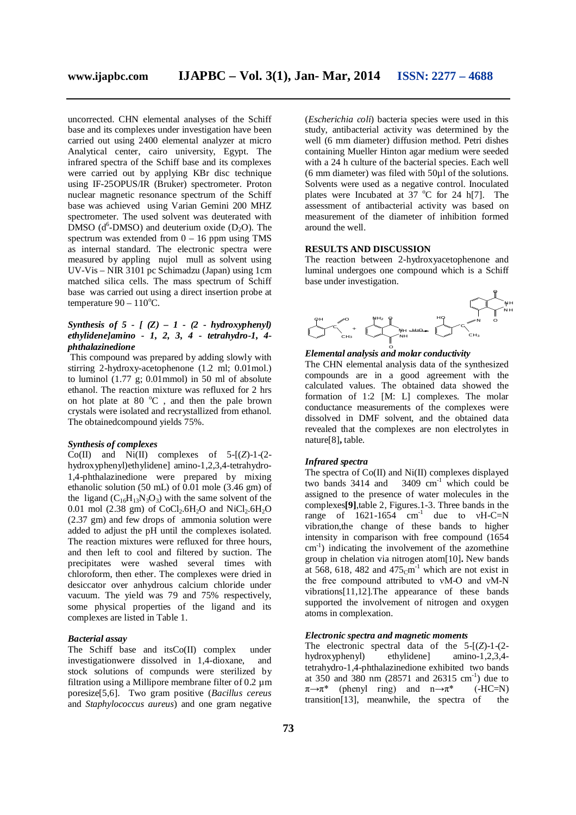uncorrected. CHN elemental analyses of the Schiff base and its complexes under investigation have been carried out using 2400 elemental analyzer at micro Analytical center, cairo university, Egypt. The infrared spectra of the Schiff base and its complexes were carried out by applying KBr disc technique using IF-25OPUS/IR (Bruker) spectrometer. Proton nuclear magnetic resonance spectrum of the Schiff base was achieved using Varian Gemini 200 MHZ spectrometer. The used solvent was deuterated with  $\overline{DMSO}$  (d<sup>6</sup>-DMSO) and deuterium oxide (D<sub>2</sub>O). The spectrum was extended from  $0 - 16$  ppm using TMS as internal standard. The electronic spectra were measured by appling nujol mull as solvent using UV-Vis – NIR 3101 pc Schimadzu (Japan) using 1cm matched silica cells. The mass spectrum of Schiff base was carried out using a direct insertion probe at temperature  $90 - 110$ <sup>o</sup>C.

#### *Synthesis of 5 - [ (Z) – 1 - (2 - hydroxyphenyl) ethylidene]amino - 1, 2, 3, 4 - tetrahydro-1, 4 phthalazinedione*

This compound was prepared by adding slowly with stirring 2-hydroxy-acetophenone (1.2 ml; 0.01mol.) to luminol  $(1.77 \text{ g}; 0.01 \text{ mmol})$  in 50 ml of absolute ethanol. The reaction mixture was refluxed for 2 hrs on hot plate at  $80\degree$ C, and then the pale brown crystals were isolated and recrystallized from ethanol. The obtainedcompound yields 75%.

#### *Synthesis of complexes*

 $Co(II)$  and  $Ni(II)$  complexes of  $5-[Z]-1-(2$ hydroxyphenyl)ethylidene] amino-1,2,3,4-tetrahydro-1,4-phthalazinedione were prepared by mixing ethanolic solution (50 mL) of 0.01 mole (3.46 gm) of the ligand  $(C_{16}H_{13}N_3O_3)$  with the same solvent of the 0.01 mol (2.38 gm) of  $CoCl<sub>2</sub>.6H<sub>2</sub>O$  and  $NiCl<sub>2</sub>.6H<sub>2</sub>O$ (2.37 gm) and few drops of ammonia solution were added to adjust the pH until the complexes isolated. The reaction mixtures were refluxed for three hours, and then left to cool and filtered by suction. The precipitates were washed several times with chloroform, then ether. The complexes were dried in desiccator over anhydrous calcium chloride under vacuum. The yield was 79 and 75% respectively, some physical properties of the ligand and its complexes are listed in Table 1.

#### *Bacterial assay*

The Schiff base and itsCo(II) complex under investigationwere dissolved in 1,4-dioxane, and stock solutions of compunds were sterilized by filtration using a Millipore membrane filter of  $0.2 \mu m$ poresize[5,6]. Two gram positive (*Bacillus cereus* and *Staphylococcus aureus*) and one gram negative

(*Escherichia coli*) bacteria species were used in this study, antibacterial activity was determined by the well (6 mm diameter) diffusion method. Petri dishes containing Mueller Hinton agar medium were seeded with a 24 h culture of the bacterial species. Each well (6 mm diameter) was filed with 50µl of the solutions. Solvents were used as a negative control. Inoculated plates were Incubated at 37  $^{\circ}$ C for 24 h[7]. The assessment of antibacterial activity was based on measurement of the diameter of inhibition formed around the well.

#### **RESULTS AND DISCUSSION**

The reaction between 2-hydroxyacetophenone and luminal undergoes one compound which is a Schiff base under investigation.



### *Elemental analysis and molar conductivity* O

The CHN elemental analysis data of the synthesized compounds are in a good agreement with the calculated values. The obtained data showed the formation of 1:2 [M: L] complexes. The molar conductance measurements of the complexes were dissolved in DMF solvent, and the obtained data revealed that the complexes are non electrolytes in nature[8]**,** table.

#### *Infrared spectra*

The spectra of Co(II) and Ni(II) complexes displayed two bands  $3414$  and  $3409$  cm<sup>-1</sup> which could be assigned to the presence of water molecules in the complexes**[9]**,table 2, Figures.1-3. Three bands in the range of  $1621-1654$  cm<sup>-1</sup> due to vH-C=N vibration,the change of these bands to higher intensity in comparison with free compound (1654 cm-1 ) indicating the involvement of the azomethine group in chelation via nitrogen atom[10]**.** New bands at 568, 618, 482 and  $475 \text{cm}^{-1}$  which are not exist in the free compound attributed to νM-O and νM-N vibrations[11,12].The appearance of these bands supported the involvement of nitrogen and oxygen atoms in complexation.

#### *Electronic spectra and magnetic moments*

The electronic spectral data of the 5-[(*Z*)-1-(2 hydroxyphenyl) ethylidene] amino-1,2,3,4 tetrahydro-1,4-phthalazinedione exhibited two bands at  $350$  and  $380$  nm  $(28571$  and  $26315$  cm<sup>-1</sup>) due to  $\pi \rightarrow \pi^*$  (phenyl ring) and  $n \rightarrow \pi^*$  (-HC=N) transition[13], meanwhile, the spectra of the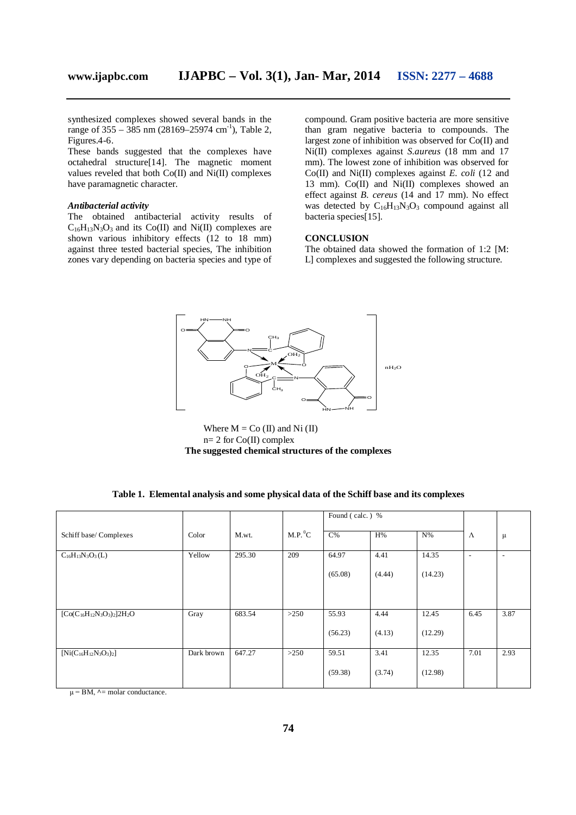synthesized complexes showed several bands in the range of  $355 - 385$  nm (28169–25974 cm<sup>-1</sup>), Table 2, Figures.4-6.

These bands suggested that the complexes have octahedral structure[14]. The magnetic moment values reveled that both Co(II) and Ni(II) complexes have paramagnetic character.

#### *Antibacterial activity*

The obtained antibacterial activity results of  $C_{16}H_{13}N_3O_3$  and its Co(II) and Ni(II) complexes are shown various inhibitory effects (12 to 18 mm) against three tested bacterial species, The inhibition zones vary depending on bacteria species and type of compound. Gram positive bacteria are more sensitive than gram negative bacteria to compounds. The largest zone of inhibition was observed for Co(II) and Ni(II) complexes against *S.aureus* (18 mm and 17 mm). The lowest zone of inhibition was observed for Co(II) and Ni(II) complexes against *E. coli* (12 and 13 mm). Co(II) and Ni(II) complexes showed an effect against *B. cereus* (14 and 17 mm). No effect was detected by  $C_{16}H_{13}N_3O_3$  compound against all bacteria species[15].

#### **CONCLUSION**

The obtained data showed the formation of 1:2 [M: L] complexes and suggested the following structure.



Where  $M = Co (II)$  and Ni  $(II)$  $n= 2$  for Co(II) complex **The suggested chemical structures of the complexes**

| Table 1.  Elemental analysis and some physical data of the Schiff base and its complexes |
|------------------------------------------------------------------------------------------|
|------------------------------------------------------------------------------------------|

|                                   |            |        |                     | Found (calc.) % |        |         |                          |                          |
|-----------------------------------|------------|--------|---------------------|-----------------|--------|---------|--------------------------|--------------------------|
| Schiff base/ Complexes            | Color      | M.wt.  | M.P. <sup>0</sup> C | $C\%$           | H%     | $N\%$   | Λ                        | $\mu$                    |
| $C_{16}H_{13}N_3O_3(L)$           | Yellow     | 295.30 | 209                 | 64.97           | 4.41   | 14.35   | $\overline{\phantom{a}}$ | $\overline{\phantom{a}}$ |
|                                   |            |        |                     | (65.08)         | (4.44) | (14.23) |                          |                          |
|                                   |            |        |                     |                 |        |         |                          |                          |
| $[Co(C_{16}H_{12}N_3O_3)_2]2H_2O$ | Gray       | 683.54 | >250                | 55.93           | 4.44   | 12.45   | 6.45                     | 3.87                     |
|                                   |            |        |                     | (56.23)         | (4.13) | (12.29) |                          |                          |
| $[Ni(C_{16}H_{12}N_3O_3)_2]$      | Dark brown | 647.27 | >250                | 59.51           | 3.41   | 12.35   | 7.01                     | 2.93                     |
| $\overline{ }$                    |            |        |                     | (59.38)         | (3.74) | (12.98) |                          |                          |

 $\mu$  = BM,  $\lambda$  = molar conductance.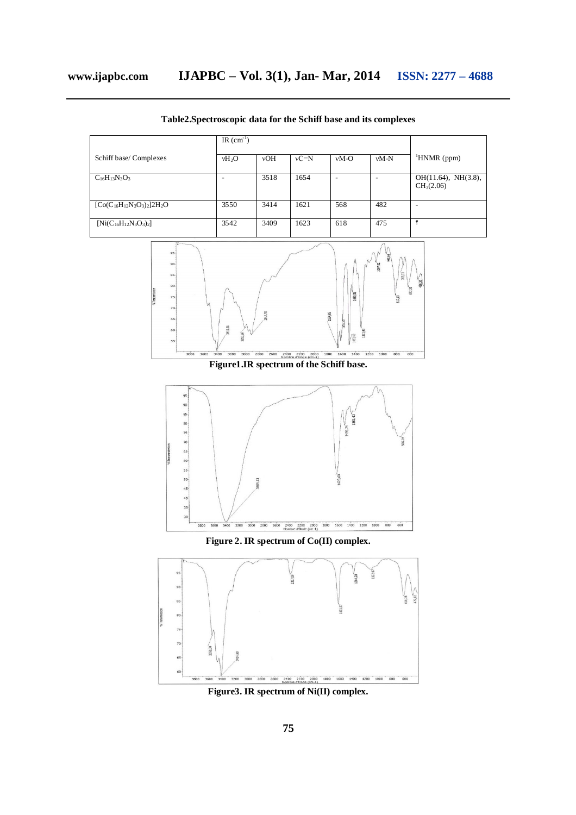|                                   | IR $(cm-1)$ |      |        |        |        |                                            |
|-----------------------------------|-------------|------|--------|--------|--------|--------------------------------------------|
| Schiff base/ Complexes            | $vH_2O$     | vOH  | $vC=N$ | $vM-O$ | $vM-N$ | $HNMR$ (ppm)                               |
| $C_{16}H_{13}N_3O_3$              |             | 3518 | 1654   | ۰      |        | $OH(11.64)$ , NH $(3.8)$ ,<br>$CH_3(2.06)$ |
| $[Co(C_{16}H_{12}N_3O_3)_2]2H_2O$ | 3550        | 3414 | 1621   | 568    | 482    | $\overline{\phantom{0}}$                   |
| $[Ni(C_{16}H_{12}N_3O_3)_2]$      | 3542        | 3409 | 1623   | 618    | 475    | ę                                          |

**Table2.Spectroscopic data for the Schiff base and its complexes**





**Figure 2. IR spectrum of Co(II) complex.**



**Figure3. IR spectrum of Ni(II) complex.**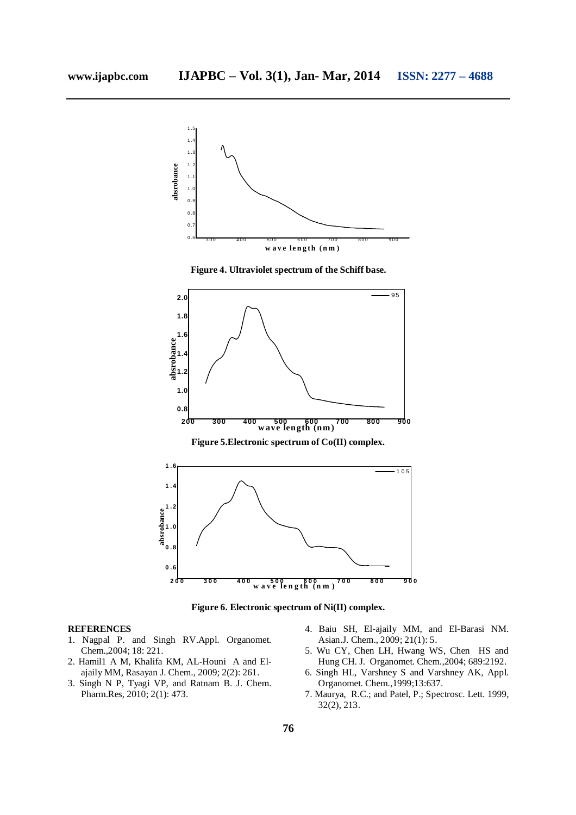

**Figure 6. Electronic spectrum of Ni(II) complex.**

#### **REFERENCES**

- 1. Nagpal P. and Singh RV.Appl. Organomet. Chem.,2004; 18: 221.
- 2. Hamil1 A M, Khalifa KM, AL-Houni A and Elajaily MM, Rasayan J. Chem., 2009; 2(2): 261.
- 3. Singh N P, Tyagi VP, and Ratnam B. J. Chem. Pharm.Res, 2010; 2(1): 473.
- 4. Baiu SH, El-ajaily MM, and El-Barasi NM. Asian.J. Chem., 2009; 21(1): 5.
- 5. Wu CY, Chen LH, Hwang WS, Chen HS and Hung CH. J. Organomet. Chem.,2004; 689:2192.
- 6. Singh HL, Varshney S and Varshney AK, Appl. Organomet. Chem.,1999;13:637.
- 7. Maurya, R.C.; and Patel, P.; Spectrosc. Lett. 1999, 32(2), 213.